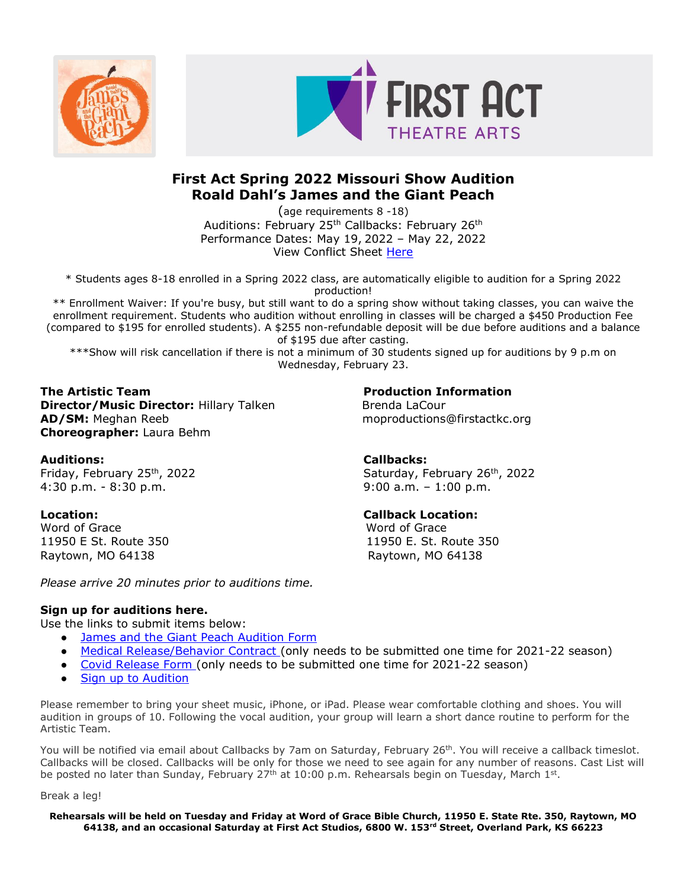



# **First Act Spring 2022 Missouri Show Audition Roald Dahl's James and the Giant Peach**

(age requirements 8 -18) Auditions: February 25<sup>th</sup> Callbacks: February 26<sup>th</sup> Performance Dates: May 19, 2022 – May 22, 2022 View Conflict Sheet [Here](https://firstactkc.org/wp-content/uploads/sites/12/2021/12/James-Conflict-Sheet.pdf)

\* Students ages 8-18 enrolled in a Spring 2022 class, are automatically eligible to audition for a Spring 2022 production!

\*\* Enrollment Waiver: If you're busy, but still want to do a spring show without taking classes, you can waive the enrollment requirement. Students who audition without enrolling in classes will be charged a \$450 Production Fee (compared to \$195 for enrolled students). A \$255 non-refundable deposit will be due before auditions and a balance of \$195 due after casting.

\*\*\*Show will risk cancellation if there is not a minimum of 30 students signed up for auditions by 9 p.m on Wednesday, February 23.

**The Artistic Team 2006 10 2006 10 2006 10 2006 10 2006 10 2006 10 2006 10 2006 10 2006 10 2006 10 2006 10 2006 10 2006 10 2006 10 2006 10 2006 10 2006 10 2006 10 2006 10 2006 10 2006 10 2006 10 2006 10 2006 10 2006 10 200 Director/Music Director: Hillary Talken Brenda LaCour Brenda LaCour AD/SM:** Meghan Reeb moproductions@firstactkc.org **Choreographer:** Laura Behm

### **Auditions: Callbacks:**

4:30 p.m. - 8:30 p.m. 9:00 a.m. – 1:00 p.m.

Word of Grace Word of Grace Raytown, MO 64138 Raytown, MO 64138

*Please arrive 20 minutes prior to auditions time.* 

### **Sign up for auditions here.**

Use the links to submit items below:

- [James and the Giant Peach](https://form.jotform.com/213424962396159) Audition Form
- [Medical Release/Behavior Contract](https://form.jotform.com/212006233004131) (only needs to be submitted one time for 2021-22 season)
- [Covid Release Form](https://form.jotform.com/212017082061138) (only needs to be submitted one time for 2021-22 season)
- **[Sign up to Audition](https://www.signupgenius.com/go/10C0D4FA8AD22A3F58-james)**

Please remember to bring your sheet music, iPhone, or iPad. Please wear comfortable clothing and shoes. You will audition in groups of 10. Following the vocal audition, your group will learn a short dance routine to perform for the Artistic Team.

You will be notified via email about Callbacks by 7am on Saturday, February 26<sup>th</sup>. You will receive a callback timeslot. Callbacks will be closed. Callbacks will be only for those we need to see again for any number of reasons. Cast List will be posted no later than Sunday, February 27<sup>th</sup> at 10:00 p.m. Rehearsals begin on Tuesday, March 1<sup>st</sup>.

Break a leg!

**Rehearsals will be held on Tuesday and Friday at Word of Grace Bible Church, 11950 E. State Rte. 350, Raytown, MO 64138, and an occasional Saturday at First Act Studios, 6800 W. 153rd Street, Overland Park, KS 66223**

Friday, February 25<sup>th</sup>, 2022 Saturday, February 26<sup>th</sup>, 2022

### **Location: Callback Location:**

11950 E St. Route 350 11950 E. St. Route 350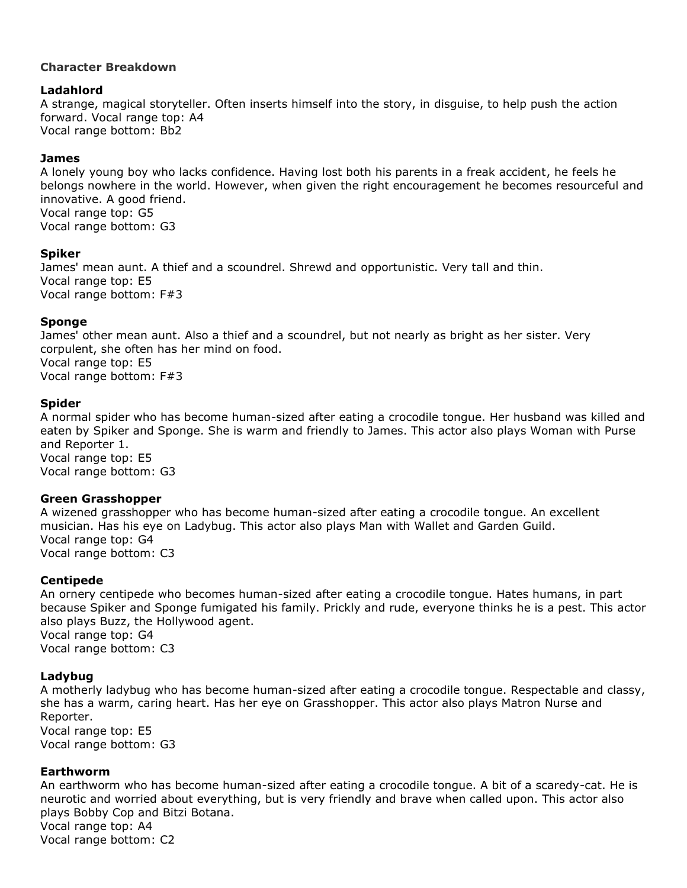# **Character Breakdown**

# **Ladahlord**

A strange, magical storyteller. Often inserts himself into the story, in disguise, to help push the action forward. Vocal range top: A4 Vocal range bottom: Bb2

# **James**

A lonely young boy who lacks confidence. Having lost both his parents in a freak accident, he feels he belongs nowhere in the world. However, when given the right encouragement he becomes resourceful and innovative. A good friend. Vocal range top: G5 Vocal range bottom: G3

# **Spiker**

James' mean aunt. A thief and a scoundrel. Shrewd and opportunistic. Very tall and thin. Vocal range top: E5 Vocal range bottom: F#3

# **Sponge**

James' other mean aunt. Also a thief and a scoundrel, but not nearly as bright as her sister. Very corpulent, she often has her mind on food. Vocal range top: E5 Vocal range bottom: F#3

### **Spider**

A normal spider who has become human-sized after eating a crocodile tongue. Her husband was killed and eaten by Spiker and Sponge. She is warm and friendly to James. This actor also plays Woman with Purse and Reporter 1. Vocal range top: E5 Vocal range bottom: G3

### **Green Grasshopper**

A wizened grasshopper who has become human-sized after eating a crocodile tongue. An excellent musician. Has his eye on Ladybug. This actor also plays Man with Wallet and Garden Guild. Vocal range top: G4 Vocal range bottom: C3

# **Centipede**

An ornery centipede who becomes human-sized after eating a crocodile tongue. Hates humans, in part because Spiker and Sponge fumigated his family. Prickly and rude, everyone thinks he is a pest. This actor also plays Buzz, the Hollywood agent. Vocal range top: G4 Vocal range bottom: C3

# **Ladybug**

A motherly ladybug who has become human-sized after eating a crocodile tongue. Respectable and classy, she has a warm, caring heart. Has her eye on Grasshopper. This actor also plays Matron Nurse and Reporter.

Vocal range top: E5 Vocal range bottom: G3

### **Earthworm**

An earthworm who has become human-sized after eating a crocodile tongue. A bit of a scaredy-cat. He is neurotic and worried about everything, but is very friendly and brave when called upon. This actor also plays Bobby Cop and Bitzi Botana. Vocal range top: A4 Vocal range bottom: C2